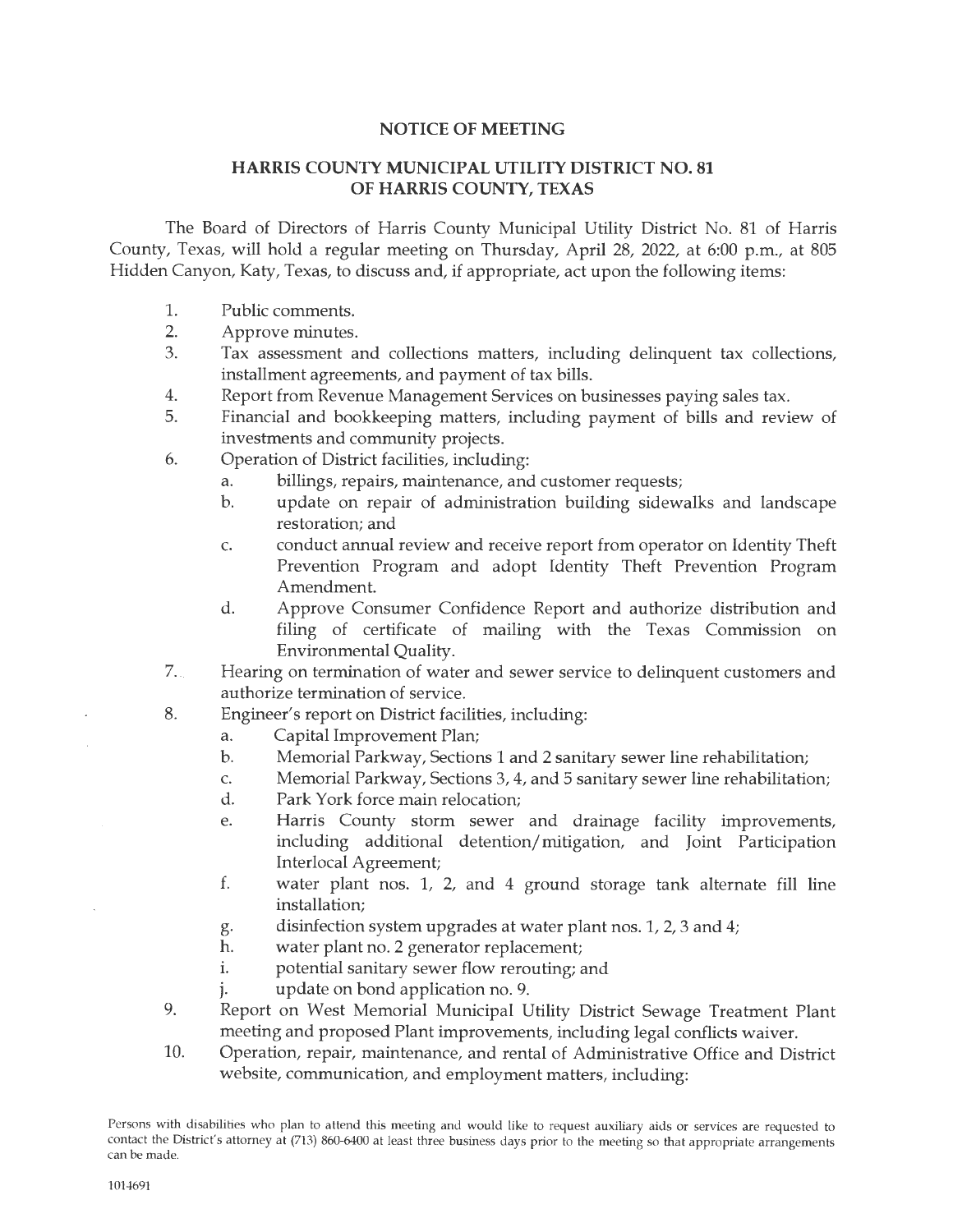## **NOTICE OF MEETING**

## **HARRIS COUNTY MUNICIPAL UTILITY DISTRICT NO. 81 OF HARRIS COUNTY, TEXAS**

The Board of Directors of Harris County Municipal Utility District No. 81 of Harris County, Texas, will hold a regular meeting on Thursday, April 28, 2022, at 6:00 p.m., at 805 Hidden Canyon, Katy, Texas, to discuss and, if appropriate, act upon the following items:

- 1. Public comments.
- 2. Approve minutes.
- 3. Tax assessment and collections matters, including delinquent tax collections, installment agreements, and payment of tax bills.
- 4. Report from Revenue Management Services on businesses paying sales tax.
- 5. Financial and bookkeeping matters, including payment of bills and review of investments and community projects.
- 6. Operation of District facilities, including:
	- a. billings, repairs, maintenance, and customer requests;
	- b. update on repair of administration building sidewalks and landscape restoration; and
	- c. conduct annual review and receive report from operator on Identity Theft Prevention Program and adopt Identity Theft Prevention Program Amendment.
	- d. Approve Consumer Confidence Report and authorize distribution and filing of certificate of mailing with the Texas Commission on Environmental Quality.
- 7. .. Hearing on termination of water and sewer service to delinquent customers and authorize termination of service.
- 8. Engineer's report on District facilities, including:
	- a. Capital Improvement Plan;
	- b. Memorial Parkway, Sections 1 and 2 sanitary sewer line rehabilitation;
	- c. Memorial Parkway, Sections 3, 4, and 5 sanitary sewer line rehabilitation;
	- d. Park York force main relocation;
	- e. Harris County storm sewer and drainage facility improvements, including additional detention/ mitigation, and Joint Participation Interlocal Agreement;
	- f. water plant nos. 1, 2, and 4 ground storage tank alternate fill line installation;
	- g. disinfection system upgrades at water plant nos. 1, 2, 3 and 4;
	- h. water plant no. 2 generator replacement;
	- i. potential sanitary sewer flow rerouting; and
	- update on bond application no. 9.
- 9. Report on West Memorial Municipal Utility District Sewage Treatment Plant meeting and proposed Plant improvements, including legal conflicts waiver.
- 10. Operation, repair, maintenance, and rental of Administrative Office and District website, communication, and employment matters, including:

Persons with disabilities who plan to attend this meeting and would like to request auxiliary aids or services are requested to contact the District's attorney at (713) 860-6400 at least three business days prior to the meeting so that appropriate arrangements can be made.